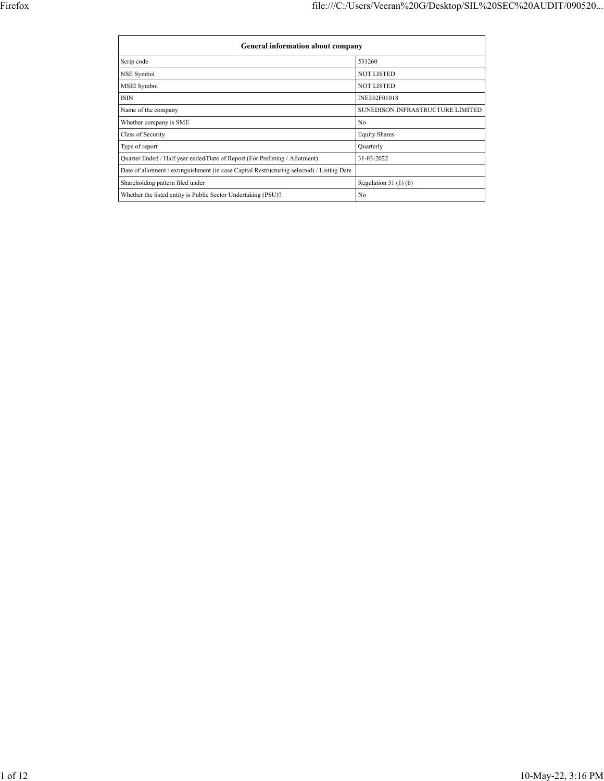|                                                                                            | <b>General information about company</b> |  |  |  |  |  |  |  |  |  |  |
|--------------------------------------------------------------------------------------------|------------------------------------------|--|--|--|--|--|--|--|--|--|--|
| Scrip code                                                                                 | 531260                                   |  |  |  |  |  |  |  |  |  |  |
| <b>NSE Symbol</b>                                                                          | <b>NOT LISTED</b>                        |  |  |  |  |  |  |  |  |  |  |
| MSEI Symbol                                                                                | <b>NOT LISTED</b>                        |  |  |  |  |  |  |  |  |  |  |
| ISIN                                                                                       | INE332F01018                             |  |  |  |  |  |  |  |  |  |  |
| Name of the company                                                                        | SUNEDISON INFRASTRUCTURE LIMITED         |  |  |  |  |  |  |  |  |  |  |
| Whether company is SME                                                                     | No                                       |  |  |  |  |  |  |  |  |  |  |
| Class of Security                                                                          | <b>Equity Shares</b>                     |  |  |  |  |  |  |  |  |  |  |
| Type of report                                                                             | Quarterly                                |  |  |  |  |  |  |  |  |  |  |
| Quarter Ended / Half year ended/Date of Report (For Prelisting / Allotment)                | 31-03-2022                               |  |  |  |  |  |  |  |  |  |  |
| Date of allotment / extinguishment (in case Capital Restructuring selected) / Listing Date |                                          |  |  |  |  |  |  |  |  |  |  |
| Shareholding pattern filed under                                                           | Regulation $31(1)(b)$                    |  |  |  |  |  |  |  |  |  |  |
| Whether the listed entity is Public Sector Undertaking (PSU)?                              | No                                       |  |  |  |  |  |  |  |  |  |  |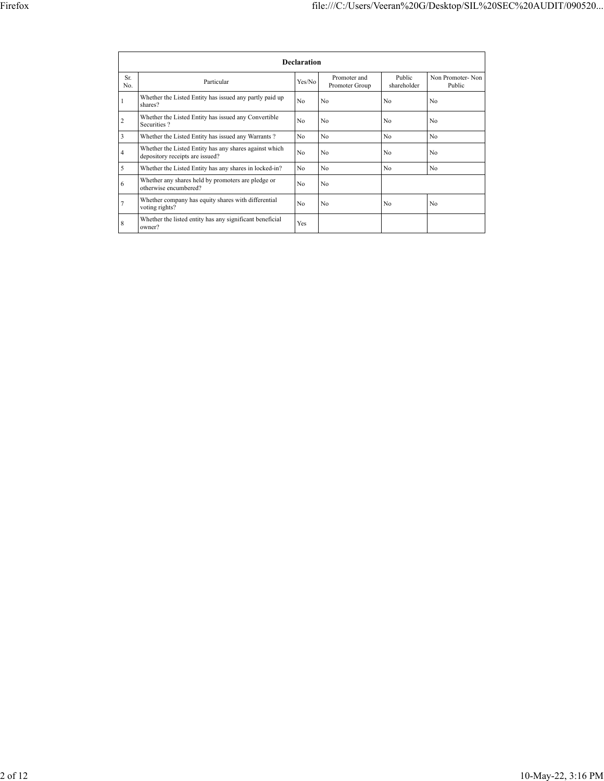|            | <b>Declaration</b>                                                                        |                |                                |                       |                            |  |  |  |  |  |  |  |  |
|------------|-------------------------------------------------------------------------------------------|----------------|--------------------------------|-----------------------|----------------------------|--|--|--|--|--|--|--|--|
| Sr.<br>No. | Particular                                                                                | Yes/No         | Promoter and<br>Promoter Group | Public<br>shareholder | Non Promoter-Non<br>Public |  |  |  |  |  |  |  |  |
| 1          | Whether the Listed Entity has issued any partly paid up<br>shares?                        | N <sub>0</sub> | No                             | N <sub>0</sub>        | No                         |  |  |  |  |  |  |  |  |
| 2          | Whether the Listed Entity has issued any Convertible<br>Securities?                       | N <sub>0</sub> | No                             | N <sub>0</sub>        | No                         |  |  |  |  |  |  |  |  |
| 3          | Whether the Listed Entity has issued any Warrants?                                        | N <sub>0</sub> | No                             | No                    | No                         |  |  |  |  |  |  |  |  |
| 4          | Whether the Listed Entity has any shares against which<br>depository receipts are issued? | N <sub>0</sub> | No                             | N <sub>0</sub>        | No                         |  |  |  |  |  |  |  |  |
| 5          | Whether the Listed Entity has any shares in locked-in?                                    | No             | No                             | No                    | No                         |  |  |  |  |  |  |  |  |
| 6          | Whether any shares held by promoters are pledge or<br>otherwise encumbered?               | N <sub>0</sub> | No                             |                       |                            |  |  |  |  |  |  |  |  |
| 7          | Whether company has equity shares with differential<br>voting rights?                     | N <sub>0</sub> | No                             | N <sub>0</sub>        | No                         |  |  |  |  |  |  |  |  |
| 8          | Whether the listed entity has any significant beneficial<br>owner?                        | Yes            |                                |                       |                            |  |  |  |  |  |  |  |  |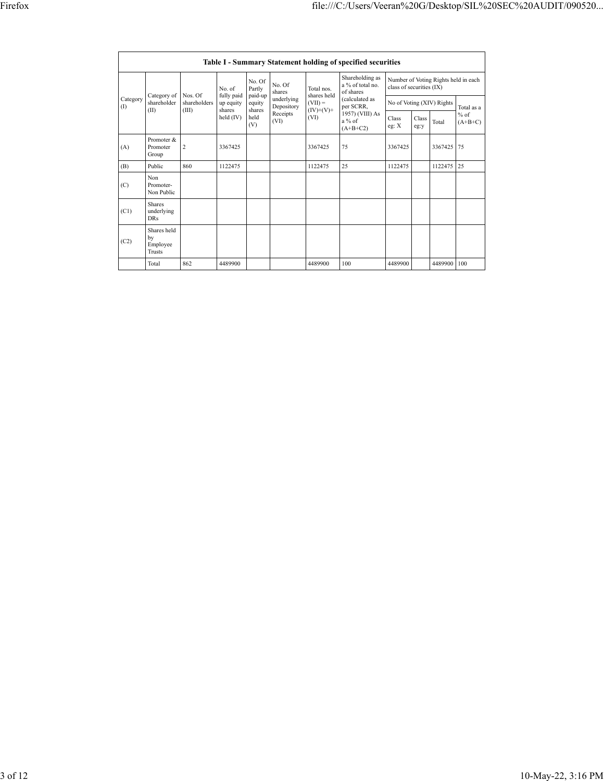|                 | <b>Table I - Summary Statement holding of specified securities</b> |                                  |                                                          |                             |                          |                                  |                                                                                                                              |                                                                  |               |                           |                     |  |  |
|-----------------|--------------------------------------------------------------------|----------------------------------|----------------------------------------------------------|-----------------------------|--------------------------|----------------------------------|------------------------------------------------------------------------------------------------------------------------------|------------------------------------------------------------------|---------------|---------------------------|---------------------|--|--|
|                 |                                                                    |                                  | No. of<br>fully paid<br>up equity<br>shares<br>held (IV) | No. Of<br>Partly            | No. Of<br>shares         | Total nos.<br>shares held        | Shareholding as<br>a % of total no.<br>of shares<br>(calculated as<br>per SCRR,<br>1957) (VIII) As<br>$a\%$ of<br>$(A+B+C2)$ | Number of Voting Rights held in each<br>class of securities (IX) |               |                           |                     |  |  |
| Category<br>(I) | Category of<br>shareholder<br>(II)                                 | Nos. Of<br>shareholders<br>(III) |                                                          | paid-up<br>equity<br>shares | underlying<br>Depository | $(VII) =$<br>$(IV)+(V)+$<br>(VI) |                                                                                                                              |                                                                  |               | No of Voting (XIV) Rights | Total as a          |  |  |
|                 |                                                                    |                                  |                                                          | held<br>(V)                 | Receipts<br>(VI)         |                                  |                                                                                                                              | Class<br>eg: X                                                   | Class<br>eg:y | Total                     | $%$ of<br>$(A+B+C)$ |  |  |
| (A)             | Promoter &<br>Promoter<br>Group                                    | $\overline{c}$                   | 3367425                                                  |                             |                          | 3367425                          | 75                                                                                                                           | 3367425                                                          |               | 3367425                   | 75                  |  |  |
| (B)             | Public                                                             | 860                              | 1122475                                                  |                             |                          | 1122475                          | 25                                                                                                                           | 1122475                                                          |               | 1122475                   | 25                  |  |  |
| (C)             | Non.<br>Promoter-<br>Non Public                                    |                                  |                                                          |                             |                          |                                  |                                                                                                                              |                                                                  |               |                           |                     |  |  |
| (C1)            | <b>Shares</b><br>underlying<br>DR <sub>s</sub>                     |                                  |                                                          |                             |                          |                                  |                                                                                                                              |                                                                  |               |                           |                     |  |  |
| (C2)            | Shares held<br>bv<br>Employee<br>Trusts                            |                                  |                                                          |                             |                          |                                  |                                                                                                                              |                                                                  |               |                           |                     |  |  |
|                 | Total                                                              | 862                              | 4489900                                                  |                             |                          | 4489900                          | 100                                                                                                                          | 4489900                                                          |               | 4489900                   | 100                 |  |  |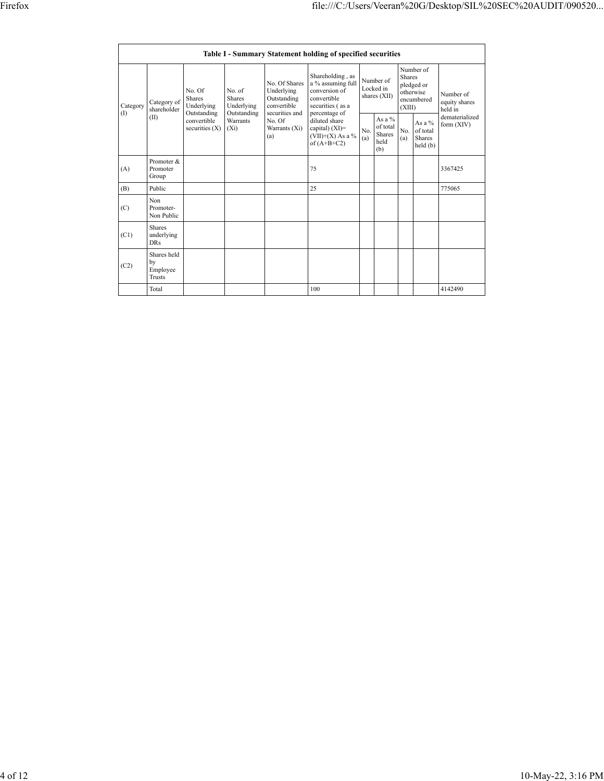|  |                        |                                                |                                                                                  |                                                                             |                                                                                                               | <b>Table I - Summary Statement holding of specified securities</b>                                         |            |                                                |                         |                                                    |                                       |
|--|------------------------|------------------------------------------------|----------------------------------------------------------------------------------|-----------------------------------------------------------------------------|---------------------------------------------------------------------------------------------------------------|------------------------------------------------------------------------------------------------------------|------------|------------------------------------------------|-------------------------|----------------------------------------------------|---------------------------------------|
|  | Category<br>(I)<br>(A) | Category of<br>shareholder<br>(II)             | No. Of<br>Shares<br>Underlying<br>Outstanding<br>convertible<br>securities $(X)$ | No. of<br><b>Shares</b><br>Underlying<br>Outstanding<br>Warrants<br>$(X_i)$ | No. Of Shares<br>Underlying<br>Outstanding<br>convertible<br>securities and<br>No. Of<br>Warrants (Xi)<br>(a) | Shareholding, as<br>a % assuming full<br>conversion of<br>convertible<br>securities (as a<br>percentage of |            | Number of<br>Locked in<br>shares (XII)         | <b>Shares</b><br>(XIII) | Number of<br>pledged or<br>otherwise<br>encumbered | Number of<br>equity shares<br>held in |
|  |                        |                                                |                                                                                  |                                                                             |                                                                                                               | diluted share<br>capital) $(XI)$ =<br>$(VII)+(X)$ As a %<br>of $(A+B+C2)$                                  | No.<br>(a) | As a $\%$<br>of total<br>Shares<br>held<br>(b) | No.<br>(a)              | As a %<br>of total<br>Shares<br>held(b)            | dematerialized<br>form (XIV)          |
|  |                        | Promoter &<br>Promoter<br>Group                |                                                                                  |                                                                             |                                                                                                               | 75                                                                                                         |            |                                                |                         |                                                    | 3367425                               |
|  | (B)                    | Public                                         |                                                                                  |                                                                             |                                                                                                               | 25                                                                                                         |            |                                                |                         |                                                    | 775065                                |
|  | (C)                    | Non<br>Promoter-<br>Non Public                 |                                                                                  |                                                                             |                                                                                                               |                                                                                                            |            |                                                |                         |                                                    |                                       |
|  | (C1)                   | <b>Shares</b><br>underlying<br><b>DRs</b>      |                                                                                  |                                                                             |                                                                                                               |                                                                                                            |            |                                                |                         |                                                    |                                       |
|  | (C2)                   | Shares held<br>by<br>Employee<br><b>Trusts</b> |                                                                                  |                                                                             |                                                                                                               |                                                                                                            |            |                                                |                         |                                                    |                                       |
|  |                        | Total                                          |                                                                                  |                                                                             |                                                                                                               | 100                                                                                                        |            |                                                |                         |                                                    | 4142490                               |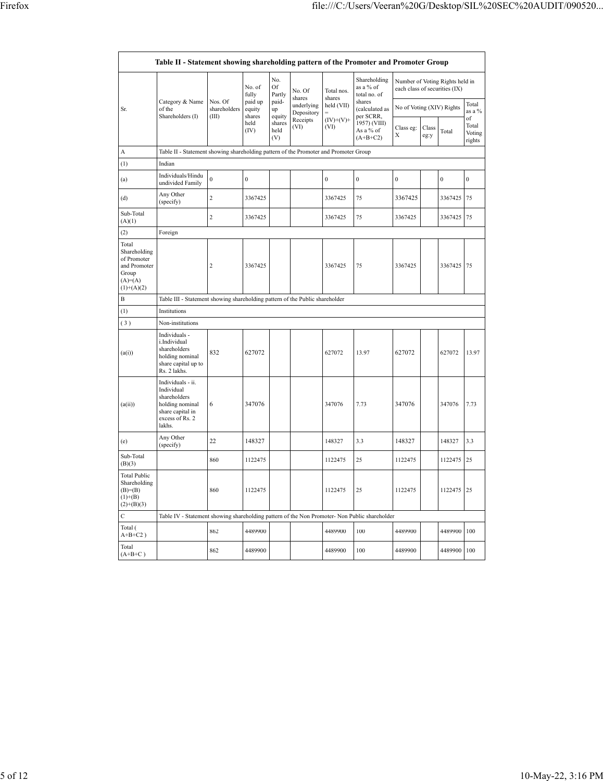$\mathsf{r}$ 

٦

|                                                                                            | Table II - Statement showing shareholding pattern of the Promoter and Promoter Group                                |                                  |                                                |                            |                                                        |                                   |                                                                                  |                           |                 |                                                                  |                                 |
|--------------------------------------------------------------------------------------------|---------------------------------------------------------------------------------------------------------------------|----------------------------------|------------------------------------------------|----------------------------|--------------------------------------------------------|-----------------------------------|----------------------------------------------------------------------------------|---------------------------|-----------------|------------------------------------------------------------------|---------------------------------|
|                                                                                            | Category & Name<br>of the<br>Shareholders (I)                                                                       |                                  | No. of<br>fully<br>paid up<br>equity<br>shares | No.<br><b>Of</b><br>Partly | No. Of                                                 | Total nos.<br>shares              | Shareholding<br>as a % of<br>total no. of                                        |                           |                 | Number of Voting Rights held in<br>each class of securities (IX) |                                 |
| Sr.                                                                                        |                                                                                                                     | Nos. Of<br>shareholders<br>(III) |                                                | paid-<br>up<br>equity      | shares<br>underlying<br>Depository<br>Receipts<br>(VI) | held (VII)<br>$(IV)+(V)+$<br>(VI) | shares<br>(calculated as<br>per SCRR,<br>1957) (VIII)<br>As a % of<br>$(A+B+C2)$ | No of Voting (XIV) Rights | Total<br>as a % |                                                                  |                                 |
|                                                                                            |                                                                                                                     |                                  | held<br>(IV)                                   | shares<br>held<br>(V)      |                                                        |                                   |                                                                                  | Class eg:<br>Х            | Class<br>eg:y   | Total                                                            | of<br>Total<br>Voting<br>rights |
| A                                                                                          | Table II - Statement showing shareholding pattern of the Promoter and Promoter Group                                |                                  |                                                |                            |                                                        |                                   |                                                                                  |                           |                 |                                                                  |                                 |
| (1)                                                                                        | Indian                                                                                                              |                                  |                                                |                            |                                                        |                                   |                                                                                  |                           |                 |                                                                  |                                 |
| (a)                                                                                        | Individuals/Hindu<br>undivided Family                                                                               | $\mathbf{0}$                     | $\overline{0}$                                 |                            |                                                        | $\boldsymbol{0}$                  | $\boldsymbol{0}$                                                                 | $\boldsymbol{0}$          |                 | $\mathbf{0}$                                                     | $\mathbf{0}$                    |
| (d)                                                                                        | Any Other<br>(specify)                                                                                              | $\overline{c}$                   | 3367425                                        |                            |                                                        | 3367425                           | 75                                                                               | 3367425                   |                 | 3367425                                                          | 75                              |
| Sub-Total<br>(A)(1)                                                                        |                                                                                                                     | $\overline{c}$                   | 3367425                                        |                            |                                                        | 3367425                           | 75                                                                               | 3367425                   |                 | 3367425                                                          | 75                              |
| (2)                                                                                        | Foreign                                                                                                             |                                  |                                                |                            |                                                        |                                   |                                                                                  |                           |                 |                                                                  |                                 |
| Total<br>Shareholding<br>of Promoter<br>and Promoter<br>Group<br>$(A)=(A)$<br>$(1)+(A)(2)$ |                                                                                                                     | $\sqrt{2}$                       | 3367425                                        |                            |                                                        | 3367425                           | 75                                                                               | 3367425                   |                 | 3367425                                                          | 75                              |
| B                                                                                          | Table III - Statement showing shareholding pattern of the Public shareholder                                        |                                  |                                                |                            |                                                        |                                   |                                                                                  |                           |                 |                                                                  |                                 |
| (1)                                                                                        | Institutions                                                                                                        |                                  |                                                |                            |                                                        |                                   |                                                                                  |                           |                 |                                                                  |                                 |
| (3)                                                                                        | Non-institutions                                                                                                    |                                  |                                                |                            |                                                        |                                   |                                                                                  |                           |                 |                                                                  |                                 |
| (a(i))                                                                                     | Individuals -<br>i.Individual<br>shareholders<br>holding nominal<br>share capital up to<br>Rs. 2 lakhs.             | 832                              | 627072                                         |                            |                                                        | 627072                            | 13.97                                                                            | 627072                    |                 | 627072                                                           | 13.97                           |
| (a(ii))                                                                                    | Individuals - ii.<br>Individual<br>shareholders<br>holding nominal<br>share capital in<br>excess of Rs. 2<br>lakhs. | 6                                | 347076                                         |                            |                                                        | 347076                            | 7.73                                                                             | 347076                    |                 | 347076                                                           | 7.73                            |
| (e)                                                                                        | Any Other<br>(specify)                                                                                              | 22                               | 148327                                         |                            |                                                        | 148327                            | 3.3                                                                              | 148327                    |                 | 148327                                                           | 3.3                             |
| Sub-Total<br>(B)(3)                                                                        |                                                                                                                     | 860                              | 1122475                                        |                            |                                                        | 1122475                           | 25                                                                               | 1122475                   |                 | 1122475                                                          | 25                              |
| <b>Total Public</b><br>Shareholding<br>$(B)= (B)$<br>$(1)+(B)$<br>$(2)+(B)(3)$             |                                                                                                                     | 860                              | 1122475                                        |                            |                                                        | 1122475                           | 25                                                                               | 1122475                   |                 | 1122475                                                          | 25                              |
| C                                                                                          | Table IV - Statement showing shareholding pattern of the Non Promoter- Non Public shareholder                       |                                  |                                                |                            |                                                        |                                   |                                                                                  |                           |                 |                                                                  |                                 |
| Total (<br>$A+B+C2$ )                                                                      |                                                                                                                     | 862                              | 4489900                                        |                            |                                                        | 4489900                           | 100                                                                              | 4489900                   |                 | 4489900                                                          | 100                             |
| Total<br>$(A+B+C)$                                                                         |                                                                                                                     | 862                              | 4489900                                        |                            |                                                        | 4489900                           | 100                                                                              | 4489900                   |                 | 4489900                                                          | 100                             |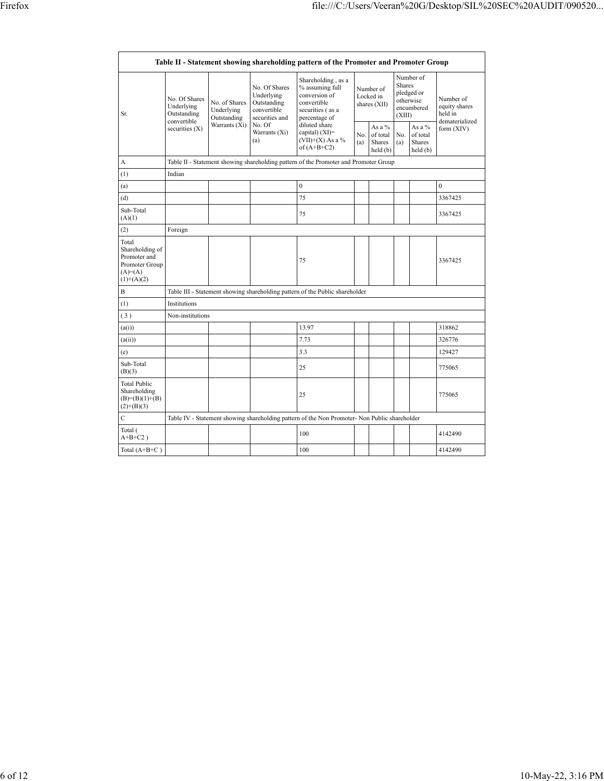$\mathsf{r}$ 

┑

|                                                                                        | Table II - Statement showing shareholding pattern of the Promoter and Promoter Group |                                                                                      |                                                                             |                                                                                                            |                                        |                                           |                                                                        |                                            |                                                         |  |  |  |  |
|----------------------------------------------------------------------------------------|--------------------------------------------------------------------------------------|--------------------------------------------------------------------------------------|-----------------------------------------------------------------------------|------------------------------------------------------------------------------------------------------------|----------------------------------------|-------------------------------------------|------------------------------------------------------------------------|--------------------------------------------|---------------------------------------------------------|--|--|--|--|
| Sr.                                                                                    | No. Of Shares<br>Underlying<br>Outstanding                                           | No. of Shares<br>Underlying<br>Outstanding                                           | No. Of Shares<br>Underlying<br>Outstanding<br>convertible<br>securities and | Shareholding, as a<br>% assuming full<br>conversion of<br>convertible<br>securities (as a<br>percentage of | Number of<br>Locked in<br>shares (XII) |                                           | Number of<br>Shares<br>pledged or<br>otherwise<br>encumbered<br>(XIII) |                                            | Number of<br>equity shares<br>held in<br>dematerialized |  |  |  |  |
|                                                                                        | convertible<br>securities $(X)$                                                      | Warrants $(X_i)$<br>No. Of<br>Warrants (Xi)<br>(a)                                   |                                                                             | diluted share<br>capital) $(XI)$ =<br>$(VII)+(X)$ As a %<br>of $(A+B+C2)$                                  | No.<br>(a)                             | As a $%$<br>of total<br>Shares<br>held(b) | No.<br>(a)                                                             | As a $\%$<br>of total<br>Shares<br>held(b) | form $(XIV)$                                            |  |  |  |  |
| A                                                                                      |                                                                                      | Table II - Statement showing shareholding pattern of the Promoter and Promoter Group |                                                                             |                                                                                                            |                                        |                                           |                                                                        |                                            |                                                         |  |  |  |  |
| (1)                                                                                    | Indian                                                                               |                                                                                      |                                                                             |                                                                                                            |                                        |                                           |                                                                        |                                            |                                                         |  |  |  |  |
| (a)                                                                                    |                                                                                      |                                                                                      |                                                                             | $\mathbf{0}$                                                                                               |                                        |                                           |                                                                        |                                            | $\mathbf{0}$                                            |  |  |  |  |
| (d)                                                                                    |                                                                                      |                                                                                      |                                                                             | 75                                                                                                         |                                        |                                           |                                                                        |                                            | 3367425                                                 |  |  |  |  |
| Sub-Total<br>(A)(1)                                                                    |                                                                                      |                                                                                      |                                                                             | 75                                                                                                         |                                        |                                           |                                                                        |                                            | 3367425                                                 |  |  |  |  |
| (2)                                                                                    | Foreign                                                                              |                                                                                      |                                                                             |                                                                                                            |                                        |                                           |                                                                        |                                            |                                                         |  |  |  |  |
| Total<br>Shareholding of<br>Promoter and<br>Promoter Group<br>$(A)=A)$<br>$(1)+(A)(2)$ |                                                                                      |                                                                                      |                                                                             | 75                                                                                                         |                                        |                                           |                                                                        |                                            | 3367425                                                 |  |  |  |  |
| В                                                                                      |                                                                                      |                                                                                      |                                                                             | Table III - Statement showing shareholding pattern of the Public shareholder                               |                                        |                                           |                                                                        |                                            |                                                         |  |  |  |  |
| (1)                                                                                    | Institutions                                                                         |                                                                                      |                                                                             |                                                                                                            |                                        |                                           |                                                                        |                                            |                                                         |  |  |  |  |
| (3)                                                                                    | Non-institutions                                                                     |                                                                                      |                                                                             |                                                                                                            |                                        |                                           |                                                                        |                                            |                                                         |  |  |  |  |
| (a(i))                                                                                 |                                                                                      |                                                                                      |                                                                             | 13.97                                                                                                      |                                        |                                           |                                                                        |                                            | 318862                                                  |  |  |  |  |
| (a(ii))                                                                                |                                                                                      |                                                                                      |                                                                             | 7.73                                                                                                       |                                        |                                           |                                                                        |                                            | 326776                                                  |  |  |  |  |
| (e)                                                                                    |                                                                                      |                                                                                      |                                                                             | 3.3                                                                                                        |                                        |                                           |                                                                        |                                            | 129427                                                  |  |  |  |  |
| Sub-Total<br>(B)(3)                                                                    |                                                                                      |                                                                                      |                                                                             | 25                                                                                                         |                                        |                                           |                                                                        |                                            | 775065                                                  |  |  |  |  |
| <b>Total Public</b><br>Shareholding<br>$(B)=(B)(1)+(B)$<br>$(2)+(B)(3)$                |                                                                                      |                                                                                      |                                                                             | 25                                                                                                         |                                        |                                           |                                                                        |                                            | 775065                                                  |  |  |  |  |
| $\mathbf C$                                                                            |                                                                                      |                                                                                      |                                                                             | Table IV - Statement showing shareholding pattern of the Non Promoter- Non Public shareholder              |                                        |                                           |                                                                        |                                            |                                                         |  |  |  |  |
| Total (<br>$A+B+C2$ )                                                                  |                                                                                      |                                                                                      |                                                                             | 100                                                                                                        |                                        |                                           |                                                                        |                                            | 4142490                                                 |  |  |  |  |
| Total $(A+B+C)$                                                                        |                                                                                      |                                                                                      |                                                                             | 100                                                                                                        |                                        |                                           |                                                                        |                                            | 4142490                                                 |  |  |  |  |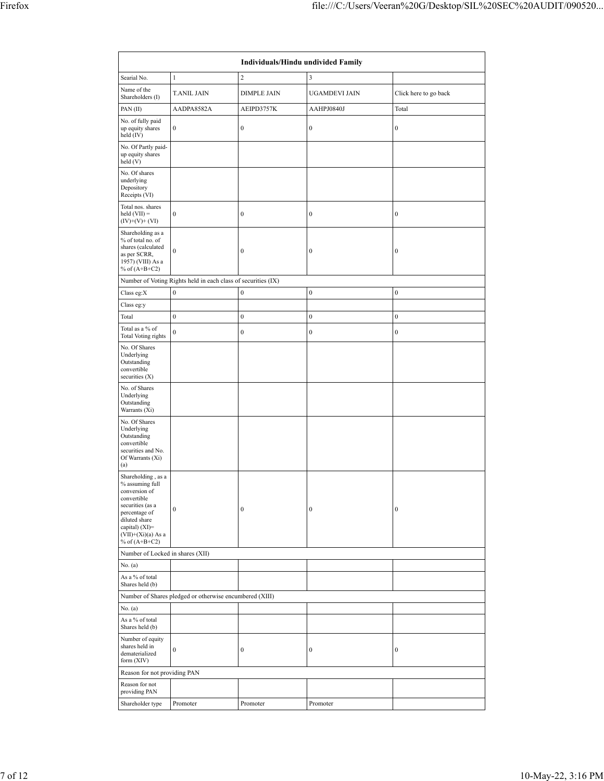|                                                                                                                      | Individuals/Hindu undivided Family                            |                    |                  |                       |  |  |  |  |  |  |  |  |
|----------------------------------------------------------------------------------------------------------------------|---------------------------------------------------------------|--------------------|------------------|-----------------------|--|--|--|--|--|--|--|--|
| Searial No.                                                                                                          | $\mathbf{1}$                                                  | $\overline{c}$     | 3                |                       |  |  |  |  |  |  |  |  |
| Name of the<br>Shareholders (I)                                                                                      | <b>T.ANIL JAIN</b>                                            | <b>DIMPLE JAIN</b> | UGAMDEVI JAIN    | Click here to go back |  |  |  |  |  |  |  |  |
| PAN(II)                                                                                                              | AADPA8582A                                                    | AEIPD3757K         | AAHPJ0840J       | Total                 |  |  |  |  |  |  |  |  |
| No. of fully paid<br>up equity shares<br>held (IV)                                                                   | $\boldsymbol{0}$                                              | $\boldsymbol{0}$   | $\boldsymbol{0}$ | $\boldsymbol{0}$      |  |  |  |  |  |  |  |  |
| No. Of Partly paid-<br>up equity shares<br>held (V)                                                                  |                                                               |                    |                  |                       |  |  |  |  |  |  |  |  |
| No. Of shares<br>underlying<br>Depository<br>Receipts (VI)                                                           |                                                               |                    |                  |                       |  |  |  |  |  |  |  |  |
| Total nos. shares<br>held $(VII) =$<br>$(IV)+(V)+(VI)$                                                               | $\boldsymbol{0}$                                              | $\boldsymbol{0}$   | $\boldsymbol{0}$ | $\boldsymbol{0}$      |  |  |  |  |  |  |  |  |
| Shareholding as a<br>% of total no. of<br>shares (calculated<br>as per SCRR,<br>1957) (VIII) As a<br>% of $(A+B+C2)$ | $\boldsymbol{0}$                                              | $\boldsymbol{0}$   | $\boldsymbol{0}$ | $\boldsymbol{0}$      |  |  |  |  |  |  |  |  |
|                                                                                                                      | Number of Voting Rights held in each class of securities (IX) |                    |                  |                       |  |  |  |  |  |  |  |  |
| Class eg:X                                                                                                           | $\boldsymbol{0}$                                              | $\boldsymbol{0}$   | $\boldsymbol{0}$ | $\boldsymbol{0}$      |  |  |  |  |  |  |  |  |
| Class eg:y                                                                                                           |                                                               |                    |                  |                       |  |  |  |  |  |  |  |  |
| Total                                                                                                                | $\boldsymbol{0}$                                              | $\boldsymbol{0}$   | $\boldsymbol{0}$ | $\boldsymbol{0}$      |  |  |  |  |  |  |  |  |
| Total as a % of<br>Total Voting rights                                                                               | $\boldsymbol{0}$                                              | $\boldsymbol{0}$   | $\boldsymbol{0}$ | $\boldsymbol{0}$      |  |  |  |  |  |  |  |  |
| No. Of Shares<br>Underlying<br>Outstanding<br>convertible<br>securities (X)                                          |                                                               |                    |                  |                       |  |  |  |  |  |  |  |  |
| No. of Shares<br>Underlying<br>Outstanding<br>Warrants (Xi)                                                          |                                                               |                    |                  |                       |  |  |  |  |  |  |  |  |
| No. Of Shares<br>Underlying<br>Outstanding<br>convertible<br>securities and No.<br>Of Warrants (Xi)<br>(a)           |                                                               |                    |                  |                       |  |  |  |  |  |  |  |  |
| Shareholding, as a<br>% assuming full<br>conversion of<br>convertible<br>securities (as a                            |                                                               |                    |                  |                       |  |  |  |  |  |  |  |  |
| percentage of<br>diluted share<br>capital) (XI)=<br>$(VII)+(Xi)(a)$ As a<br>% of $(A+B+C2)$                          | $\boldsymbol{0}$                                              | $\boldsymbol{0}$   | $\boldsymbol{0}$ | $\boldsymbol{0}$      |  |  |  |  |  |  |  |  |
| Number of Locked in shares (XII)                                                                                     |                                                               |                    |                  |                       |  |  |  |  |  |  |  |  |
| No. (a)                                                                                                              |                                                               |                    |                  |                       |  |  |  |  |  |  |  |  |
| As a % of total<br>Shares held (b)                                                                                   |                                                               |                    |                  |                       |  |  |  |  |  |  |  |  |
|                                                                                                                      | Number of Shares pledged or otherwise encumbered (XIII)       |                    |                  |                       |  |  |  |  |  |  |  |  |
| No. (a)                                                                                                              |                                                               |                    |                  |                       |  |  |  |  |  |  |  |  |
| As a % of total<br>Shares held (b)                                                                                   |                                                               |                    |                  |                       |  |  |  |  |  |  |  |  |
| Number of equity<br>shares held in<br>dematerialized<br>form $(XIV)$                                                 | $\boldsymbol{0}$                                              | $\boldsymbol{0}$   | 0                | $\boldsymbol{0}$      |  |  |  |  |  |  |  |  |
| Reason for not providing PAN                                                                                         |                                                               |                    |                  |                       |  |  |  |  |  |  |  |  |
| Reason for not<br>providing PAN                                                                                      |                                                               |                    |                  |                       |  |  |  |  |  |  |  |  |
| Shareholder type                                                                                                     | Promoter                                                      | Promoter           | Promoter         |                       |  |  |  |  |  |  |  |  |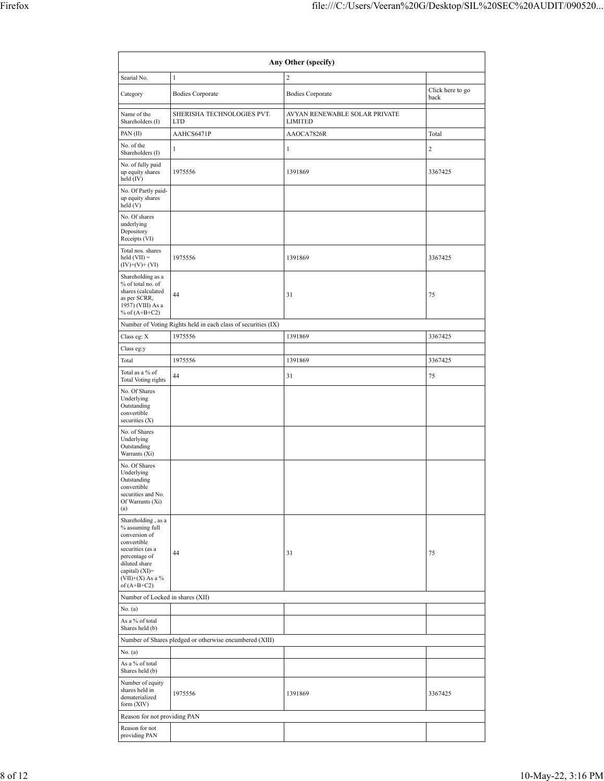| Any Other (specify)                                                                                                                                                 |                                                               |                                                 |                          |  |  |  |  |  |  |  |  |
|---------------------------------------------------------------------------------------------------------------------------------------------------------------------|---------------------------------------------------------------|-------------------------------------------------|--------------------------|--|--|--|--|--|--|--|--|
| Searial No.                                                                                                                                                         | $\mathbf{1}$                                                  | $\overline{c}$                                  |                          |  |  |  |  |  |  |  |  |
| Category                                                                                                                                                            | <b>Bodies Corporate</b>                                       | <b>Bodies Corporate</b>                         | Click here to go<br>back |  |  |  |  |  |  |  |  |
| Name of the<br>Shareholders (I)                                                                                                                                     | SHERISHA TECHNOLOGIES PVT.<br><b>LTD</b>                      | AVYAN RENEWABLE SOLAR PRIVATE<br><b>LIMITED</b> |                          |  |  |  |  |  |  |  |  |
| PAN(II)                                                                                                                                                             | AAHCS6471P                                                    | AAOCA7826R                                      | Total                    |  |  |  |  |  |  |  |  |
| No. of the<br>Shareholders (I)                                                                                                                                      | $\mathbf{1}$                                                  | $\mathbf{1}$                                    | $\overline{c}$           |  |  |  |  |  |  |  |  |
| No. of fully paid<br>up equity shares<br>held (IV)                                                                                                                  | 1975556                                                       | 1391869                                         | 3367425                  |  |  |  |  |  |  |  |  |
| No. Of Partly paid-<br>up equity shares<br>held(V)                                                                                                                  |                                                               |                                                 |                          |  |  |  |  |  |  |  |  |
| No. Of shares<br>underlying<br>Depository<br>Receipts (VI)                                                                                                          |                                                               |                                                 |                          |  |  |  |  |  |  |  |  |
| Total nos. shares<br>$\text{held (VII)} =$<br>$(IV)+(V)+(VI)$                                                                                                       | 1975556                                                       | 1391869                                         | 3367425                  |  |  |  |  |  |  |  |  |
| Shareholding as a<br>% of total no. of<br>shares (calculated<br>as per SCRR,<br>1957) (VIII) As a<br>% of $(A+B+C2)$                                                | 44                                                            | 31                                              | 75                       |  |  |  |  |  |  |  |  |
|                                                                                                                                                                     | Number of Voting Rights held in each class of securities (IX) |                                                 |                          |  |  |  |  |  |  |  |  |
| Class eg: X                                                                                                                                                         | 1975556                                                       | 1391869                                         | 3367425                  |  |  |  |  |  |  |  |  |
| Class eg:y<br>Total                                                                                                                                                 | 1975556                                                       | 1391869                                         | 3367425                  |  |  |  |  |  |  |  |  |
| Total as a % of                                                                                                                                                     |                                                               |                                                 |                          |  |  |  |  |  |  |  |  |
| Total Voting rights                                                                                                                                                 | 44                                                            | 31                                              | 75                       |  |  |  |  |  |  |  |  |
| No. Of Shares<br>Underlying<br>Outstanding<br>convertible<br>securities (X)                                                                                         |                                                               |                                                 |                          |  |  |  |  |  |  |  |  |
| No. of Shares<br>Underlying<br>Outstanding<br>Warrants (Xi)                                                                                                         |                                                               |                                                 |                          |  |  |  |  |  |  |  |  |
| No. Of Shares<br>Underlying<br>Outstanding<br>convertible<br>securities and No.<br>Of Warrants (Xi)<br>(a)                                                          |                                                               |                                                 |                          |  |  |  |  |  |  |  |  |
| Shareholding, as a<br>% assuming full<br>conversion of<br>convertible<br>securities (as a<br>percentage of<br>diluted share<br>capital) (XI)=<br>$(VII)+(X)$ As a % | 44                                                            | 31                                              | 75                       |  |  |  |  |  |  |  |  |
| of $(A+B+C2)$<br>Number of Locked in shares (XII)                                                                                                                   |                                                               |                                                 |                          |  |  |  |  |  |  |  |  |
| No. (a)                                                                                                                                                             |                                                               |                                                 |                          |  |  |  |  |  |  |  |  |
| As a % of total<br>Shares held (b)                                                                                                                                  |                                                               |                                                 |                          |  |  |  |  |  |  |  |  |
|                                                                                                                                                                     | Number of Shares pledged or otherwise encumbered (XIII)       |                                                 |                          |  |  |  |  |  |  |  |  |
| No. (a)                                                                                                                                                             |                                                               |                                                 |                          |  |  |  |  |  |  |  |  |
| As a % of total<br>Shares held (b)                                                                                                                                  |                                                               |                                                 |                          |  |  |  |  |  |  |  |  |
| Number of equity<br>shares held in<br>dematerialized<br>form $(XIV)$                                                                                                | 1975556                                                       | 1391869                                         | 3367425                  |  |  |  |  |  |  |  |  |
| Reason for not providing PAN                                                                                                                                        |                                                               |                                                 |                          |  |  |  |  |  |  |  |  |
| Reason for not<br>providing PAN                                                                                                                                     |                                                               |                                                 |                          |  |  |  |  |  |  |  |  |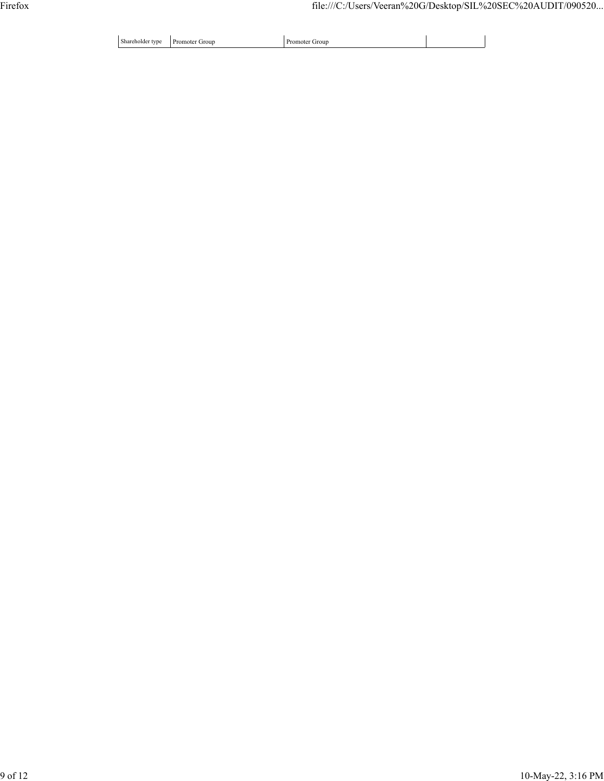Shareholder type Promoter Group Promoter Promoter Promoter Group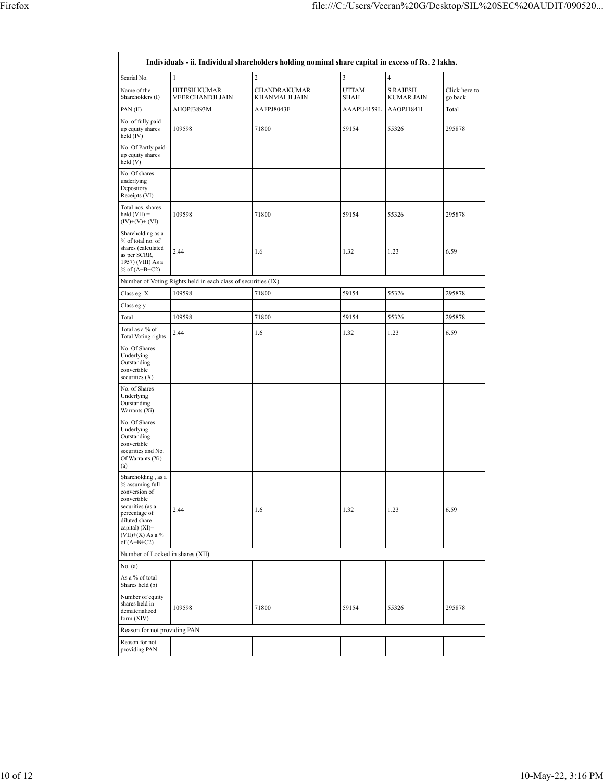|                                                                                                                                                                                      | Individuals - ii. Individual shareholders holding nominal share capital in excess of Rs. 2 lakhs. |                                |                             |                                      |                          |  |  |  |  |  |  |  |  |
|--------------------------------------------------------------------------------------------------------------------------------------------------------------------------------------|---------------------------------------------------------------------------------------------------|--------------------------------|-----------------------------|--------------------------------------|--------------------------|--|--|--|--|--|--|--|--|
| Searial No.                                                                                                                                                                          | 1                                                                                                 | $\overline{2}$                 | 3                           | 4                                    |                          |  |  |  |  |  |  |  |  |
| Name of the<br>Shareholders (I)                                                                                                                                                      | <b>HITESH KUMAR</b><br>VEERCHANDJI JAIN                                                           | CHANDRAKUMAR<br>KHANMALJI JAIN | <b>UTTAM</b><br><b>SHAH</b> | <b>S RAJESH</b><br><b>KUMAR JAIN</b> | Click here to<br>go back |  |  |  |  |  |  |  |  |
| PAN(II)                                                                                                                                                                              | AHOPJ3893M                                                                                        | AAFPJ8043F                     | AAAPU4159L                  | AAOPJ1841L                           | Total                    |  |  |  |  |  |  |  |  |
| No. of fully paid<br>up equity shares<br>held (IV)                                                                                                                                   | 109598                                                                                            | 71800                          | 59154                       | 55326                                | 295878                   |  |  |  |  |  |  |  |  |
| No. Of Partly paid-<br>up equity shares<br>held (V)                                                                                                                                  |                                                                                                   |                                |                             |                                      |                          |  |  |  |  |  |  |  |  |
| No. Of shares<br>underlying<br>Depository<br>Receipts (VI)                                                                                                                           |                                                                                                   |                                |                             |                                      |                          |  |  |  |  |  |  |  |  |
| Total nos. shares<br>$held (VII) =$<br>$(IV)+(V)+(VI)$                                                                                                                               | 109598                                                                                            | 71800                          | 59154                       | 55326                                | 295878                   |  |  |  |  |  |  |  |  |
| Shareholding as a<br>% of total no. of<br>shares (calculated<br>as per SCRR,<br>1957) (VIII) As a<br>% of $(A+B+C2)$                                                                 | 2.44                                                                                              | 1.6                            | 1.32                        | 1.23                                 | 6.59                     |  |  |  |  |  |  |  |  |
|                                                                                                                                                                                      | Number of Voting Rights held in each class of securities (IX)                                     |                                |                             |                                      |                          |  |  |  |  |  |  |  |  |
| Class eg: X                                                                                                                                                                          | 109598                                                                                            | 71800                          | 59154                       | 55326                                | 295878                   |  |  |  |  |  |  |  |  |
| Class eg:y                                                                                                                                                                           |                                                                                                   |                                |                             |                                      |                          |  |  |  |  |  |  |  |  |
| Total                                                                                                                                                                                | 109598                                                                                            | 71800                          | 59154                       | 55326                                | 295878                   |  |  |  |  |  |  |  |  |
| Total as a % of<br>Total Voting rights                                                                                                                                               | 2.44                                                                                              | 1.6                            | 1.32                        | 1.23                                 | 6.59                     |  |  |  |  |  |  |  |  |
| No. Of Shares<br>Underlying<br>Outstanding<br>convertible<br>securities (X)                                                                                                          |                                                                                                   |                                |                             |                                      |                          |  |  |  |  |  |  |  |  |
| No. of Shares<br>Underlying<br>Outstanding<br>Warrants (Xi)                                                                                                                          |                                                                                                   |                                |                             |                                      |                          |  |  |  |  |  |  |  |  |
| No. Of Shares<br>Underlying<br>Outstanding<br>convertible<br>securities and No.<br>Of Warrants (Xi)<br>(a)                                                                           |                                                                                                   |                                |                             |                                      |                          |  |  |  |  |  |  |  |  |
| Shareholding, as a<br>% assuming full<br>conversion of<br>convertible<br>securities (as a<br>percentage of<br>diluted share<br>capital) (XI)=<br>$(VII)+(X)$ As a %<br>of $(A+B+C2)$ | 2.44                                                                                              | 1.6                            | 1.32                        | 1.23                                 | 6.59                     |  |  |  |  |  |  |  |  |
| Number of Locked in shares (XII)                                                                                                                                                     |                                                                                                   |                                |                             |                                      |                          |  |  |  |  |  |  |  |  |
| No. (a)                                                                                                                                                                              |                                                                                                   |                                |                             |                                      |                          |  |  |  |  |  |  |  |  |
| As a % of total<br>Shares held (b)                                                                                                                                                   |                                                                                                   |                                |                             |                                      |                          |  |  |  |  |  |  |  |  |
| Number of equity<br>shares held in<br>dematerialized<br>form (XIV)                                                                                                                   | 109598                                                                                            | 71800                          | 59154                       | 55326                                | 295878                   |  |  |  |  |  |  |  |  |
| Reason for not providing PAN                                                                                                                                                         |                                                                                                   |                                |                             |                                      |                          |  |  |  |  |  |  |  |  |
| Reason for not<br>providing PAN                                                                                                                                                      |                                                                                                   |                                |                             |                                      |                          |  |  |  |  |  |  |  |  |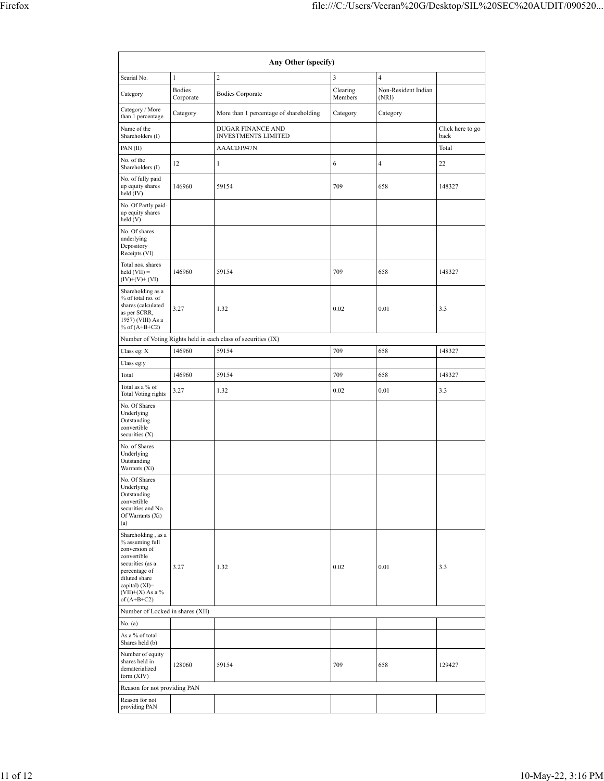| Any Other (specify)                                                                                                                                                                  |                            |                                                               |                     |                              |                          |  |  |  |  |  |  |
|--------------------------------------------------------------------------------------------------------------------------------------------------------------------------------------|----------------------------|---------------------------------------------------------------|---------------------|------------------------------|--------------------------|--|--|--|--|--|--|
| Searial No.                                                                                                                                                                          | $\mathbf{1}$               | $\overline{c}$                                                | 3                   | $\overline{4}$               |                          |  |  |  |  |  |  |
| Category                                                                                                                                                                             | <b>Bodies</b><br>Corporate | <b>Bodies Corporate</b>                                       | Clearing<br>Members | Non-Resident Indian<br>(NRI) |                          |  |  |  |  |  |  |
| Category / More<br>than 1 percentage                                                                                                                                                 | Category                   | More than 1 percentage of shareholding                        | Category            | Category                     |                          |  |  |  |  |  |  |
| Name of the<br>Shareholders (I)                                                                                                                                                      |                            | DUGAR FINANCE AND<br><b>INVESTMENTS LIMITED</b>               |                     |                              | Click here to go<br>back |  |  |  |  |  |  |
| PAN(II)                                                                                                                                                                              |                            | AAACD1947N                                                    |                     |                              | Total                    |  |  |  |  |  |  |
| No. of the<br>Shareholders (I)                                                                                                                                                       | 12                         | 1                                                             | 6                   | $\overline{4}$               | 22                       |  |  |  |  |  |  |
| No. of fully paid<br>up equity shares<br>held (IV)                                                                                                                                   | 146960                     | 59154                                                         | 709                 | 658                          | 148327                   |  |  |  |  |  |  |
| No. Of Partly paid-<br>up equity shares<br>held(V)                                                                                                                                   |                            |                                                               |                     |                              |                          |  |  |  |  |  |  |
| No. Of shares<br>underlying<br>Depository<br>Receipts (VI)                                                                                                                           |                            |                                                               |                     |                              |                          |  |  |  |  |  |  |
| Total nos. shares<br>$held (VII) =$<br>$(IV)+(V)+(VI)$                                                                                                                               | 146960                     | 59154                                                         | 709                 | 658                          | 148327                   |  |  |  |  |  |  |
| Shareholding as a<br>% of total no. of<br>shares (calculated<br>as per SCRR,<br>1957) (VIII) As a<br>% of $(A+B+C2)$                                                                 | 3.27                       | 1.32                                                          | 0.02                | 0.01                         | 3.3                      |  |  |  |  |  |  |
|                                                                                                                                                                                      |                            | Number of Voting Rights held in each class of securities (IX) |                     |                              |                          |  |  |  |  |  |  |
| Class eg: $\mathbf X$                                                                                                                                                                | 146960                     | 59154                                                         | 709                 | 658                          | 148327                   |  |  |  |  |  |  |
| Class eg:y                                                                                                                                                                           |                            |                                                               |                     |                              |                          |  |  |  |  |  |  |
| Total                                                                                                                                                                                | 146960                     | 59154                                                         | 709                 | 658                          | 148327                   |  |  |  |  |  |  |
| Total as a % of<br>Total Voting rights                                                                                                                                               | 3.27                       | 1.32                                                          | 0.02                | 0.01                         | 3.3                      |  |  |  |  |  |  |
| No. Of Shares<br>Underlying<br>Outstanding<br>convertible<br>securities (X)                                                                                                          |                            |                                                               |                     |                              |                          |  |  |  |  |  |  |
| No. of Shares<br>Underlying<br>Outstanding<br>Warrants (Xi)                                                                                                                          |                            |                                                               |                     |                              |                          |  |  |  |  |  |  |
| No. Of Shares<br>Underlying<br>Outstanding<br>convertible<br>securities and No.<br>Of Warrants (Xi)<br>(a)                                                                           |                            |                                                               |                     |                              |                          |  |  |  |  |  |  |
| Shareholding, as a<br>% assuming full<br>conversion of<br>convertible<br>securities (as a<br>percentage of<br>diluted share<br>capital) (XI)=<br>$(VII)+(X)$ As a %<br>of $(A+B+C2)$ | 3.27                       | 1.32                                                          | 0.02                | 0.01                         | 3.3                      |  |  |  |  |  |  |
| Number of Locked in shares (XII)                                                                                                                                                     |                            |                                                               |                     |                              |                          |  |  |  |  |  |  |
| No. (a)                                                                                                                                                                              |                            |                                                               |                     |                              |                          |  |  |  |  |  |  |
| As a % of total<br>Shares held (b)                                                                                                                                                   |                            |                                                               |                     |                              |                          |  |  |  |  |  |  |
| Number of equity<br>shares held in<br>dematerialized<br>form $(XIV)$                                                                                                                 | 128060                     | 59154                                                         | 709                 | 658                          | 129427                   |  |  |  |  |  |  |
| Reason for not providing PAN                                                                                                                                                         |                            |                                                               |                     |                              |                          |  |  |  |  |  |  |
| Reason for not<br>providing PAN                                                                                                                                                      |                            |                                                               |                     |                              |                          |  |  |  |  |  |  |